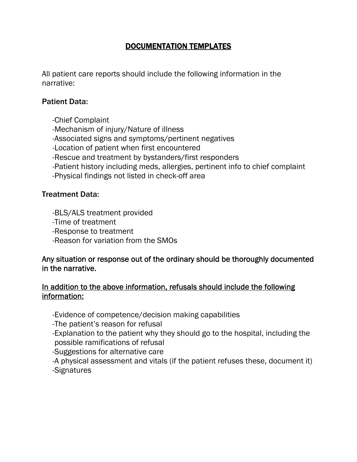# DOCUMENTATION TEMPLATES

All patient care reports should include the following information in the narrative:

### Patient Data:

 -Chief Complaint -Mechanism of injury/Nature of illness -Associated signs and symptoms/pertinent negatives -Location of patient when first encountered -Rescue and treatment by bystanders/first responders -Patient history including meds, allergies, pertinent info to chief complaint -Physical findings not listed in check-off area

### Treatment Data:

-BLS/ALS treatment provided

-Time of treatment

-Response to treatment

-Reason for variation from the SMOs

### Any situation or response out of the ordinary should be thoroughly documented in the narrative.

## In addition to the above information, refusals should include the following information:

-Evidence of competence/decision making capabilities

-The patient's reason for refusal

 -Explanation to the patient why they should go to the hospital, including the possible ramifications of refusal

-Suggestions for alternative care

 -A physical assessment and vitals (if the patient refuses these, document it) -Signatures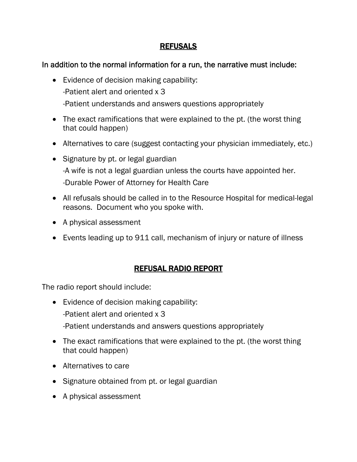## REFUSALS

## In addition to the normal information for a run, the narrative must include:

- Evidence of decision making capability: -Patient alert and oriented x 3 -Patient understands and answers questions appropriately
- The exact ramifications that were explained to the pt. (the worst thing that could happen)
- Alternatives to care (suggest contacting your physician immediately, etc.)
- Signature by pt. or legal guardian -A wife is not a legal guardian unless the courts have appointed her. -Durable Power of Attorney for Health Care
- All refusals should be called in to the Resource Hospital for medical-legal reasons. Document who you spoke with.
- A physical assessment
- Events leading up to 911 call, mechanism of injury or nature of illness

# REFUSAL RADIO REPORT

The radio report should include:

- Evidence of decision making capability: -Patient alert and oriented x 3 -Patient understands and answers questions appropriately
- The exact ramifications that were explained to the pt. (the worst thing that could happen)
- Alternatives to care
- Signature obtained from pt. or legal guardian
- A physical assessment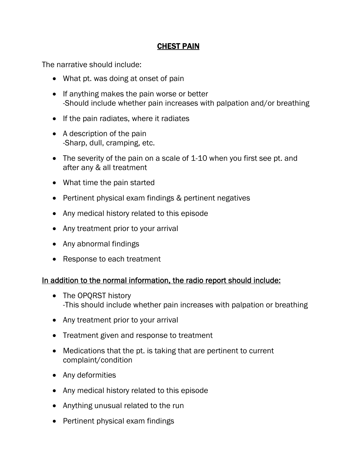## CHEST PAIN

The narrative should include:

- What pt. was doing at onset of pain
- If anything makes the pain worse or better -Should include whether pain increases with palpation and/or breathing
- If the pain radiates, where it radiates
- A description of the pain -Sharp, dull, cramping, etc.
- The severity of the pain on a scale of 1-10 when you first see pt. and after any & all treatment
- What time the pain started
- Pertinent physical exam findings & pertinent negatives
- Any medical history related to this episode
- Any treatment prior to your arrival
- Any abnormal findings
- Response to each treatment

- The OPQRST history -This should include whether pain increases with palpation or breathing
- Any treatment prior to your arrival
- Treatment given and response to treatment
- Medications that the pt. is taking that are pertinent to current complaint/condition
- Any deformities
- Any medical history related to this episode
- Anything unusual related to the run
- Pertinent physical exam findings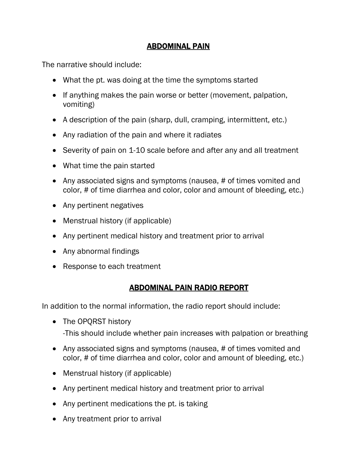## ABDOMINAL PAIN

The narrative should include:

- What the pt. was doing at the time the symptoms started
- If anything makes the pain worse or better (movement, palpation, vomiting)
- A description of the pain (sharp, dull, cramping, intermittent, etc.)
- Any radiation of the pain and where it radiates
- Severity of pain on 1-10 scale before and after any and all treatment
- What time the pain started
- Any associated signs and symptoms (nausea, # of times vomited and color, # of time diarrhea and color, color and amount of bleeding, etc.)
- Any pertinent negatives
- Menstrual history (if applicable)
- Any pertinent medical history and treatment prior to arrival
- Any abnormal findings
- Response to each treatment

# ABDOMINAL PAIN RADIO REPORT

- The OPQRST history
	- -This should include whether pain increases with palpation or breathing
- Any associated signs and symptoms (nausea, # of times vomited and color, # of time diarrhea and color, color and amount of bleeding, etc.)
- Menstrual history (if applicable)
- Any pertinent medical history and treatment prior to arrival
- Any pertinent medications the pt. is taking
- Any treatment prior to arrival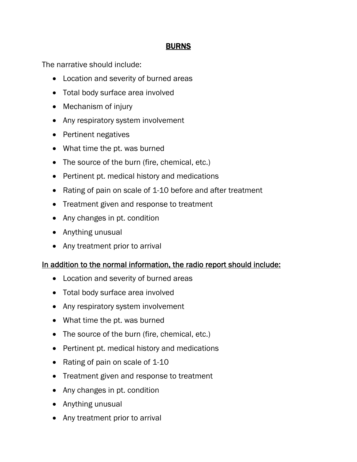## **BURNS**

The narrative should include:

- Location and severity of burned areas
- Total body surface area involved
- Mechanism of injury
- Any respiratory system involvement
- Pertinent negatives
- What time the pt. was burned
- The source of the burn (fire, chemical, etc.)
- Pertinent pt. medical history and medications
- Rating of pain on scale of 1-10 before and after treatment
- Treatment given and response to treatment
- Any changes in pt. condition
- Anything unusual
- Any treatment prior to arrival

- Location and severity of burned areas
- Total body surface area involved
- Any respiratory system involvement
- What time the pt. was burned
- The source of the burn (fire, chemical, etc.)
- Pertinent pt. medical history and medications
- Rating of pain on scale of 1-10
- Treatment given and response to treatment
- Any changes in pt. condition
- Anything unusual
- Any treatment prior to arrival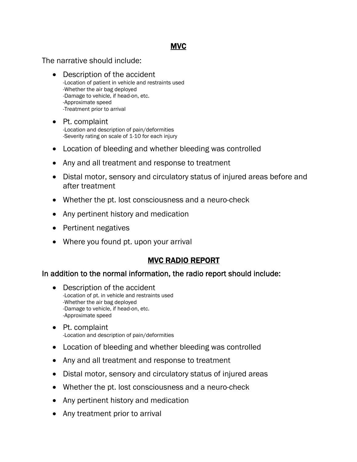### MVC

The narrative should include:

- Description of the accident -Location of patient in vehicle and restraints used -Whether the air bag deployed -Damage to vehicle, if head-on, etc. -Approximate speed -Treatment prior to arrival
- Pt. complaint -Location and description of pain/deformities -Severity rating on scale of 1-10 for each injury
- Location of bleeding and whether bleeding was controlled
- Any and all treatment and response to treatment
- Distal motor, sensory and circulatory status of injured areas before and after treatment
- Whether the pt. lost consciousness and a neuro-check
- Any pertinent history and medication
- Pertinent negatives
- Where you found pt. upon your arrival

# MVC RADIO REPORT

- Description of the accident -Location of pt. in vehicle and restraints used -Whether the air bag deployed -Damage to vehicle, if head-on, etc. -Approximate speed
- Pt. complaint -Location and description of pain/deformities
- Location of bleeding and whether bleeding was controlled
- Any and all treatment and response to treatment
- Distal motor, sensory and circulatory status of injured areas
- Whether the pt. lost consciousness and a neuro-check
- Any pertinent history and medication
- Any treatment prior to arrival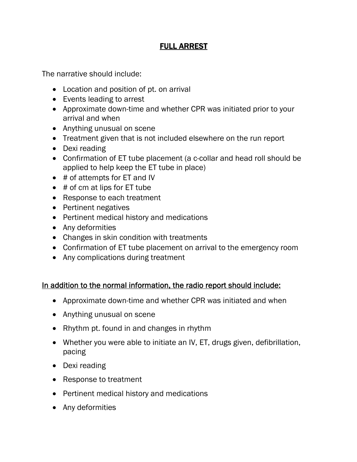# FULL ARREST

The narrative should include:

- Location and position of pt. on arrival
- Events leading to arrest
- Approximate down-time and whether CPR was initiated prior to your arrival and when
- Anything unusual on scene
- Treatment given that is not included elsewhere on the run report
- Dexi reading
- Confirmation of ET tube placement (a c-collar and head roll should be applied to help keep the ET tube in place)
- # of attempts for ET and IV
- # of cm at lips for ET tube
- Response to each treatment
- Pertinent negatives
- Pertinent medical history and medications
- Any deformities
- Changes in skin condition with treatments
- Confirmation of ET tube placement on arrival to the emergency room
- Any complications during treatment

- Approximate down-time and whether CPR was initiated and when
- Anything unusual on scene
- Rhythm pt. found in and changes in rhythm
- Whether you were able to initiate an IV, ET, drugs given, defibrillation, pacing
- Dexi reading
- Response to treatment
- Pertinent medical history and medications
- Any deformities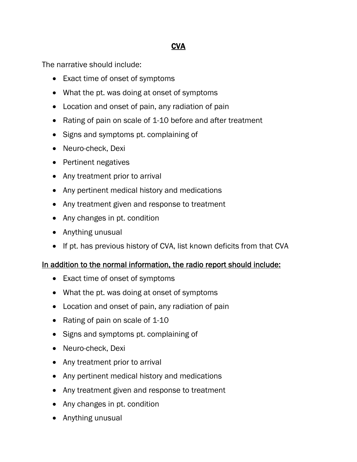# **CVA**

The narrative should include:

- Exact time of onset of symptoms
- What the pt. was doing at onset of symptoms
- Location and onset of pain, any radiation of pain
- Rating of pain on scale of 1-10 before and after treatment
- Signs and symptoms pt. complaining of
- Neuro-check, Dexi
- Pertinent negatives
- Any treatment prior to arrival
- Any pertinent medical history and medications
- Any treatment given and response to treatment
- Any changes in pt. condition
- Anything unusual
- If pt. has previous history of CVA, list known deficits from that CVA

- Exact time of onset of symptoms
- What the pt. was doing at onset of symptoms
- Location and onset of pain, any radiation of pain
- Rating of pain on scale of 1-10
- Signs and symptoms pt. complaining of
- Neuro-check, Dexi
- Any treatment prior to arrival
- Any pertinent medical history and medications
- Any treatment given and response to treatment
- Any changes in pt. condition
- Anything unusual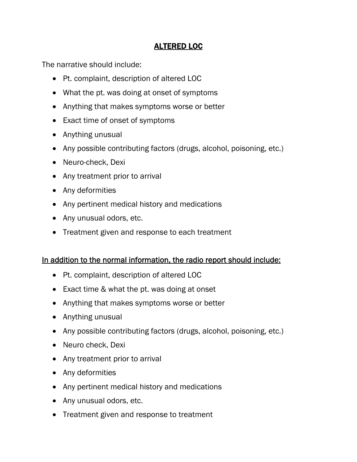## ALTERED LOC

The narrative should include:

- Pt. complaint, description of altered LOC
- What the pt. was doing at onset of symptoms
- Anything that makes symptoms worse or better
- Exact time of onset of symptoms
- Anything unusual
- Any possible contributing factors (drugs, alcohol, poisoning, etc.)
- Neuro-check, Dexi
- Any treatment prior to arrival
- Any deformities
- Any pertinent medical history and medications
- Any unusual odors, etc.
- Treatment given and response to each treatment

- Pt. complaint, description of altered LOC
- Exact time & what the pt. was doing at onset
- Anything that makes symptoms worse or better
- Anything unusual
- Any possible contributing factors (drugs, alcohol, poisoning, etc.)
- Neuro check, Dexi
- Any treatment prior to arrival
- Any deformities
- Any pertinent medical history and medications
- Any unusual odors, etc.
- Treatment given and response to treatment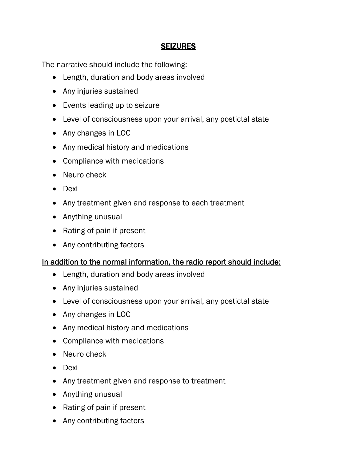### **SEIZURES**

The narrative should include the following:

- Length, duration and body areas involved
- Any injuries sustained
- Events leading up to seizure
- Level of consciousness upon your arrival, any postictal state
- Any changes in LOC
- Any medical history and medications
- Compliance with medications
- Neuro check
- Dexi
- Any treatment given and response to each treatment
- Anything unusual
- Rating of pain if present
- Any contributing factors

- Length, duration and body areas involved
- Any injuries sustained
- Level of consciousness upon your arrival, any postictal state
- Any changes in LOC
- Any medical history and medications
- Compliance with medications
- Neuro check
- Dexi
- Any treatment given and response to treatment
- Anything unusual
- Rating of pain if present
- Any contributing factors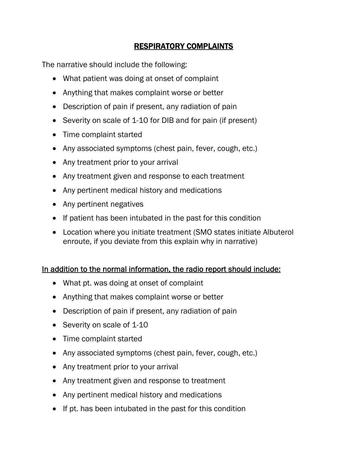# RESPIRATORY COMPLAINTS

The narrative should include the following:

- What patient was doing at onset of complaint
- Anything that makes complaint worse or better
- Description of pain if present, any radiation of pain
- Severity on scale of 1-10 for DIB and for pain (if present)
- Time complaint started
- Any associated symptoms (chest pain, fever, cough, etc.)
- Any treatment prior to your arrival
- Any treatment given and response to each treatment
- Any pertinent medical history and medications
- Any pertinent negatives
- If patient has been intubated in the past for this condition
- Location where you initiate treatment (SMO states initiate Albuterol enroute, if you deviate from this explain why in narrative)

- What pt. was doing at onset of complaint
- Anything that makes complaint worse or better
- Description of pain if present, any radiation of pain
- Severity on scale of 1-10
- Time complaint started
- Any associated symptoms (chest pain, fever, cough, etc.)
- Any treatment prior to your arrival
- Any treatment given and response to treatment
- Any pertinent medical history and medications
- If pt. has been intubated in the past for this condition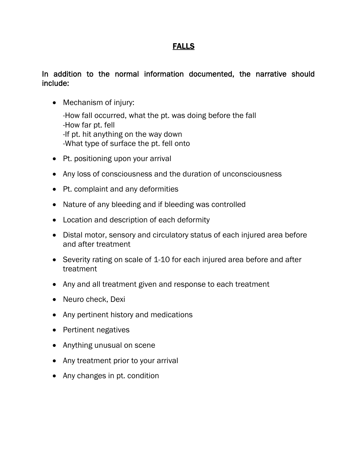# FALLS

### In addition to the normal information documented, the narrative should include:

• Mechanism of injury:

 -How fall occurred, what the pt. was doing before the fall -How far pt. fell -If pt. hit anything on the way down -What type of surface the pt. fell onto

- Pt. positioning upon your arrival
- Any loss of consciousness and the duration of unconsciousness
- Pt. complaint and any deformities
- Nature of any bleeding and if bleeding was controlled
- Location and description of each deformity
- Distal motor, sensory and circulatory status of each injured area before and after treatment
- Severity rating on scale of 1-10 for each injured area before and after treatment
- Any and all treatment given and response to each treatment
- Neuro check, Dexi
- Any pertinent history and medications
- Pertinent negatives
- Anything unusual on scene
- Any treatment prior to your arrival
- Any changes in pt. condition